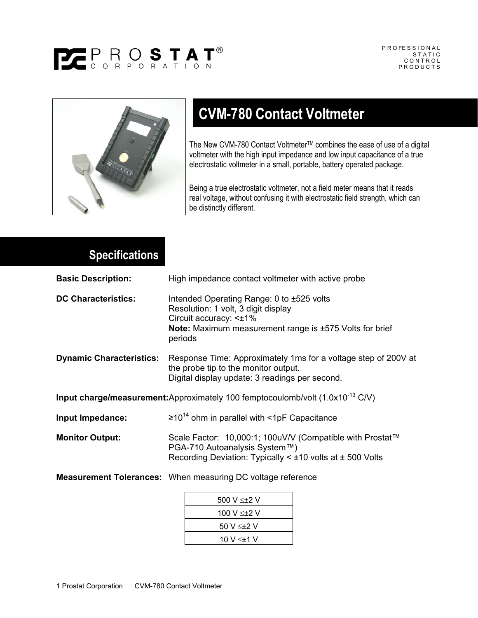## PEPROSTAT<sup>®</sup>



## **CVM-780 Contact Voltmeter**

The New CVM-780 Contact Voltmeter™ combines the ease of use of a digital voltmeter with the high input impedance and low input capacitance of a true electrostatic voltmeter in a small, portable, battery operated package.

Being a true electrostatic voltmeter, not a field meter means that it reads real voltage, without confusing it with electrostatic field strength, which can be distinctly different.

## **Specifications**

| <b>Basic Description:</b>                                                                  | High impedance contact voltmeter with active probe                                                                                                                                          |
|--------------------------------------------------------------------------------------------|---------------------------------------------------------------------------------------------------------------------------------------------------------------------------------------------|
| <b>DC Characteristics:</b>                                                                 | Intended Operating Range: 0 to ±525 volts<br>Resolution: 1 volt, 3 digit display<br>Circuit accuracy: < $±1\%$<br><b>Note:</b> Maximum measurement range is ±575 Volts for brief<br>periods |
| <b>Dynamic Characteristics:</b>                                                            | Response Time: Approximately 1 ms for a voltage step of 200V at<br>the probe tip to the monitor output.<br>Digital display update: 3 readings per second.                                   |
| <b>Input charge/measurement:</b> Approximately 100 femptocoulomb/volt $(1.0x10^{-13} C/V)$ |                                                                                                                                                                                             |
| Input Impedance:                                                                           | $\geq 10^{14}$ ohm in parallel with <1pF Capacitance                                                                                                                                        |
| <b>Monitor Output:</b>                                                                     | Scale Factor: 10,000:1; 100uV/V (Compatible with Prostat™<br>PGA-710 Autoanalysis System™)<br>Recording Deviation: Typically $\leq \pm 10$ volts at $\pm$ 500 Volts                         |
|                                                                                            | <b>Measurement Tolerances:</b> When measuring DC voltage reference                                                                                                                          |
|                                                                                            | 500 V ≤±2 V                                                                                                                                                                                 |

| 500 V $\leq$ +2 V |
|-------------------|
| 100 V ≤±2 V       |
| 50 V ≤±2 V        |
| 10 V ≤±1 V        |